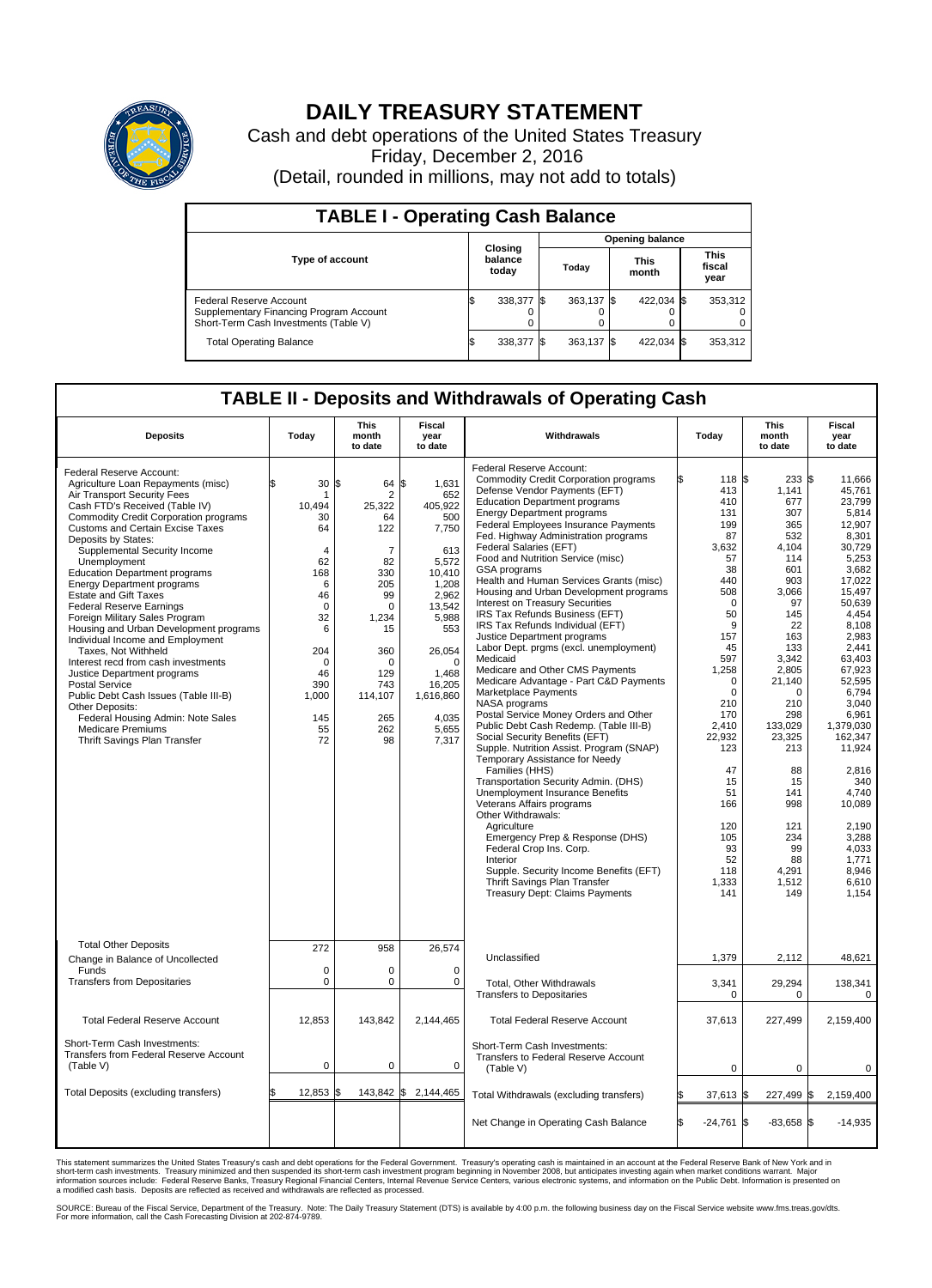

## **DAILY TREASURY STATEMENT**

Cash and debt operations of the United States Treasury Friday, December 2, 2016 (Detail, rounded in millions, may not add to totals)

| <b>TABLE I - Operating Cash Balance</b>                                                                     |    |                             |                        |            |  |                      |  |                               |  |
|-------------------------------------------------------------------------------------------------------------|----|-----------------------------|------------------------|------------|--|----------------------|--|-------------------------------|--|
|                                                                                                             |    |                             | <b>Opening balance</b> |            |  |                      |  |                               |  |
| Type of account                                                                                             |    | Closing<br>balance<br>today |                        | Today      |  | <b>This</b><br>month |  | <b>This</b><br>fiscal<br>year |  |
| Federal Reserve Account<br>Supplementary Financing Program Account<br>Short-Term Cash Investments (Table V) |    | 338,377 \$                  |                        | 363.137 \$ |  | 422.034 \$           |  | 353,312                       |  |
| <b>Total Operating Balance</b>                                                                              | ß. | 338,377 \$                  |                        | 363,137 \$ |  | 422,034 \$           |  | 353,312                       |  |

## **TABLE II - Deposits and Withdrawals of Operating Cash**

| <b>Deposits</b>                                                                                                                                                                                                                                                                                                                                                                                                                                                                                                                                                                                                                                                                                                                                                                                                                        | Today                                                                                                                                                                   | <b>This</b><br>month<br>to date                                                                                                                                       | <b>Fiscal</b><br>year<br>to date                                                                                                                                                                        | Withdrawals                                                                                                                                                                                                                                                                                                                                                                                                                                                                                                                                                                                                                                                                                                                                                                                                                                                                                                                                                                                                                                                                                                                                                                                                                                                                                                                                 | Today                                                                                                                                                                                                                                                                        | <b>This</b><br>month<br>to date                                                                                                                                                                                                                                                      | Fiscal<br>year<br>to date                                                                                                                                                                                                                                                                                                                         |
|----------------------------------------------------------------------------------------------------------------------------------------------------------------------------------------------------------------------------------------------------------------------------------------------------------------------------------------------------------------------------------------------------------------------------------------------------------------------------------------------------------------------------------------------------------------------------------------------------------------------------------------------------------------------------------------------------------------------------------------------------------------------------------------------------------------------------------------|-------------------------------------------------------------------------------------------------------------------------------------------------------------------------|-----------------------------------------------------------------------------------------------------------------------------------------------------------------------|---------------------------------------------------------------------------------------------------------------------------------------------------------------------------------------------------------|---------------------------------------------------------------------------------------------------------------------------------------------------------------------------------------------------------------------------------------------------------------------------------------------------------------------------------------------------------------------------------------------------------------------------------------------------------------------------------------------------------------------------------------------------------------------------------------------------------------------------------------------------------------------------------------------------------------------------------------------------------------------------------------------------------------------------------------------------------------------------------------------------------------------------------------------------------------------------------------------------------------------------------------------------------------------------------------------------------------------------------------------------------------------------------------------------------------------------------------------------------------------------------------------------------------------------------------------|------------------------------------------------------------------------------------------------------------------------------------------------------------------------------------------------------------------------------------------------------------------------------|--------------------------------------------------------------------------------------------------------------------------------------------------------------------------------------------------------------------------------------------------------------------------------------|---------------------------------------------------------------------------------------------------------------------------------------------------------------------------------------------------------------------------------------------------------------------------------------------------------------------------------------------------|
| Federal Reserve Account:<br>Agriculture Loan Repayments (misc)<br>Air Transport Security Fees<br>Cash FTD's Received (Table IV)<br>Commodity Credit Corporation programs<br><b>Customs and Certain Excise Taxes</b><br>Deposits by States:<br>Supplemental Security Income<br>Unemployment<br><b>Education Department programs</b><br><b>Energy Department programs</b><br><b>Estate and Gift Taxes</b><br><b>Federal Reserve Earnings</b><br>Foreign Military Sales Program<br>Housing and Urban Development programs<br>Individual Income and Employment<br>Taxes, Not Withheld<br>Interest recd from cash investments<br>Justice Department programs<br>Postal Service<br>Public Debt Cash Issues (Table III-B)<br>Other Deposits:<br>Federal Housing Admin: Note Sales<br><b>Medicare Premiums</b><br>Thrift Savings Plan Transfer | 30<br>\$.<br>1<br>10,494<br>30<br>64<br>$\overline{4}$<br>62<br>168<br>6<br>46<br>$\mathbf 0$<br>32<br>6<br>204<br>$\mathbf 0$<br>46<br>390<br>1,000<br>145<br>55<br>72 | 1\$<br>64<br>2<br>25,322<br>64<br>122<br>$\overline{7}$<br>82<br>330<br>205<br>99<br>0<br>1,234<br>15<br>360<br>$\Omega$<br>129<br>743<br>114,107<br>265<br>262<br>98 | \$<br>1,631<br>652<br>405,922<br>500<br>7,750<br>613<br>5,572<br>10,410<br>1,208<br>2,962<br>13,542<br>5,988<br>553<br>26,054<br>$\mathbf 0$<br>1.468<br>16,205<br>1,616,860<br>4,035<br>5,655<br>7,317 | Federal Reserve Account:<br><b>Commodity Credit Corporation programs</b><br>Defense Vendor Payments (EFT)<br><b>Education Department programs</b><br><b>Energy Department programs</b><br><b>Federal Employees Insurance Payments</b><br>Fed. Highway Administration programs<br>Federal Salaries (EFT)<br>Food and Nutrition Service (misc)<br><b>GSA</b> programs<br>Health and Human Services Grants (misc)<br>Housing and Urban Development programs<br>Interest on Treasury Securities<br>IRS Tax Refunds Business (EFT)<br>IRS Tax Refunds Individual (EFT)<br>Justice Department programs<br>Labor Dept. prgms (excl. unemployment)<br>Medicaid<br>Medicare and Other CMS Payments<br>Medicare Advantage - Part C&D Payments<br>Marketplace Payments<br>NASA programs<br>Postal Service Money Orders and Other<br>Public Debt Cash Redemp. (Table III-B)<br>Social Security Benefits (EFT)<br>Supple. Nutrition Assist. Program (SNAP)<br>Temporary Assistance for Needy<br>Families (HHS)<br>Transportation Security Admin. (DHS)<br>Unemployment Insurance Benefits<br>Veterans Affairs programs<br>Other Withdrawals:<br>Agriculture<br>Emergency Prep & Response (DHS)<br>Federal Crop Ins. Corp.<br>Interior<br>Supple. Security Income Benefits (EFT)<br>Thrift Savings Plan Transfer<br><b>Treasury Dept: Claims Payments</b> | 118 \$<br>413<br>410<br>131<br>199<br>87<br>3,632<br>57<br>38<br>440<br>508<br>$\Omega$<br>50<br>9<br>157<br>45<br>597<br>1,258<br>$\Omega$<br>$\mathbf 0$<br>210<br>170<br>2.410<br>22.932<br>123<br>47<br>15<br>51<br>166<br>120<br>105<br>93<br>52<br>118<br>1,333<br>141 | $233$ \$<br>1,141<br>677<br>307<br>365<br>532<br>4,104<br>114<br>601<br>903<br>3,066<br>97<br>145<br>22<br>163<br>133<br>3,342<br>2,805<br>21,140<br>$\Omega$<br>210<br>298<br>133,029<br>23.325<br>213<br>88<br>15<br>141<br>998<br>121<br>234<br>99<br>88<br>4,291<br>1,512<br>149 | 11.666<br>45,761<br>23,799<br>5,814<br>12.907<br>8.301<br>30,729<br>5,253<br>3.682<br>17,022<br>15,497<br>50,639<br>4.454<br>8,108<br>2,983<br>2,441<br>63,403<br>67,923<br>52,595<br>6,794<br>3.040<br>6,961<br>1,379,030<br>162.347<br>11,924<br>2,816<br>340<br>4,740<br>10,089<br>2,190<br>3,288<br>4.033<br>1,771<br>8,946<br>6,610<br>1.154 |
| <b>Total Other Deposits</b><br>Change in Balance of Uncollected                                                                                                                                                                                                                                                                                                                                                                                                                                                                                                                                                                                                                                                                                                                                                                        | 272                                                                                                                                                                     | 958                                                                                                                                                                   | 26,574                                                                                                                                                                                                  | Unclassified                                                                                                                                                                                                                                                                                                                                                                                                                                                                                                                                                                                                                                                                                                                                                                                                                                                                                                                                                                                                                                                                                                                                                                                                                                                                                                                                | 1,379                                                                                                                                                                                                                                                                        | 2,112                                                                                                                                                                                                                                                                                | 48,621                                                                                                                                                                                                                                                                                                                                            |
| Funds<br><b>Transfers from Depositaries</b>                                                                                                                                                                                                                                                                                                                                                                                                                                                                                                                                                                                                                                                                                                                                                                                            | $\mathbf 0$<br>$\mathbf 0$                                                                                                                                              | $\Omega$<br>0                                                                                                                                                         | $\Omega$<br>$\mathbf 0$                                                                                                                                                                                 | Total, Other Withdrawals<br><b>Transfers to Depositaries</b>                                                                                                                                                                                                                                                                                                                                                                                                                                                                                                                                                                                                                                                                                                                                                                                                                                                                                                                                                                                                                                                                                                                                                                                                                                                                                | 3,341<br>$\mathbf 0$                                                                                                                                                                                                                                                         | 29,294<br>0                                                                                                                                                                                                                                                                          | 138,341<br>$\mathbf 0$                                                                                                                                                                                                                                                                                                                            |
| <b>Total Federal Reserve Account</b>                                                                                                                                                                                                                                                                                                                                                                                                                                                                                                                                                                                                                                                                                                                                                                                                   | 12,853                                                                                                                                                                  | 143,842                                                                                                                                                               | 2,144,465                                                                                                                                                                                               | <b>Total Federal Reserve Account</b>                                                                                                                                                                                                                                                                                                                                                                                                                                                                                                                                                                                                                                                                                                                                                                                                                                                                                                                                                                                                                                                                                                                                                                                                                                                                                                        | 37,613                                                                                                                                                                                                                                                                       | 227,499                                                                                                                                                                                                                                                                              | 2,159,400                                                                                                                                                                                                                                                                                                                                         |
| Short-Term Cash Investments:<br>Transfers from Federal Reserve Account<br>(Table V)                                                                                                                                                                                                                                                                                                                                                                                                                                                                                                                                                                                                                                                                                                                                                    | 0                                                                                                                                                                       | 0                                                                                                                                                                     | 0                                                                                                                                                                                                       | Short-Term Cash Investments:<br>Transfers to Federal Reserve Account<br>(Table V)                                                                                                                                                                                                                                                                                                                                                                                                                                                                                                                                                                                                                                                                                                                                                                                                                                                                                                                                                                                                                                                                                                                                                                                                                                                           | $\mathbf 0$                                                                                                                                                                                                                                                                  | $\Omega$                                                                                                                                                                                                                                                                             | $\Omega$                                                                                                                                                                                                                                                                                                                                          |
| Total Deposits (excluding transfers)                                                                                                                                                                                                                                                                                                                                                                                                                                                                                                                                                                                                                                                                                                                                                                                                   | 12,853<br>\$                                                                                                                                                            | \$                                                                                                                                                                    | 143,842 \$2,144,465                                                                                                                                                                                     | Total Withdrawals (excluding transfers)                                                                                                                                                                                                                                                                                                                                                                                                                                                                                                                                                                                                                                                                                                                                                                                                                                                                                                                                                                                                                                                                                                                                                                                                                                                                                                     | 37,613 \$                                                                                                                                                                                                                                                                    | 227,499 \$                                                                                                                                                                                                                                                                           | 2,159,400                                                                                                                                                                                                                                                                                                                                         |
|                                                                                                                                                                                                                                                                                                                                                                                                                                                                                                                                                                                                                                                                                                                                                                                                                                        |                                                                                                                                                                         |                                                                                                                                                                       |                                                                                                                                                                                                         | Net Change in Operating Cash Balance                                                                                                                                                                                                                                                                                                                                                                                                                                                                                                                                                                                                                                                                                                                                                                                                                                                                                                                                                                                                                                                                                                                                                                                                                                                                                                        | Ŝ.<br>$-24,761$ \$                                                                                                                                                                                                                                                           | $-83.658$ \$                                                                                                                                                                                                                                                                         | $-14,935$                                                                                                                                                                                                                                                                                                                                         |

This statement summarizes the United States Treasury's cash and debt operations for the Federal Government. Treasury's operating cash is maintained in an account at the Federal Reserve Bank of New York and in<br>short-term ca

SOURCE: Bureau of the Fiscal Service, Department of the Treasury. Note: The Daily Treasury Statement (DTS) is available by 4:00 p.m. the following business day on the Fiscal Service website www.fms.treas.gov/dts.<br>For more